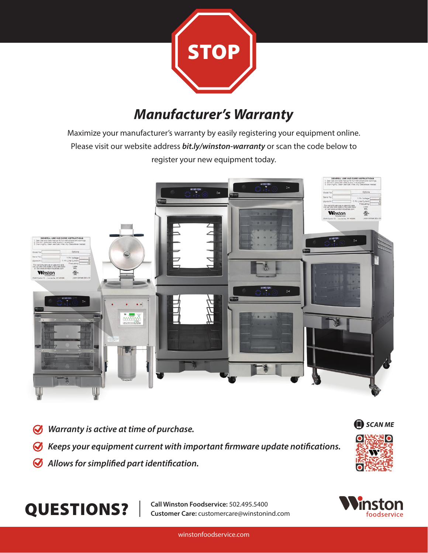

## *Manufacturer's Warranty*

Maximize your manufacturer's warranty by easily registering your equipment online. Please visit our website address *[bit.ly/winston-warranty](https://bit.ly/winston-warranty)* or scan the code below to register your new equipment today.



- *Warranty is active at time of purchase.*  $\boldsymbol{G}$
- *Keeps your equipment current with important firmware update notifications.*
- *Allows for simplified part identification.*

**QUESTIONS?** Call Winston Foodservice: 502.495.5400<br>Customer Care: [customercare@winstonind.com](mailto:customercare%40winstonind.com?subject=warranty%20registration)



*SCAN ME*

[winstonfoodservice.com](https://winstonfoodservice.com)